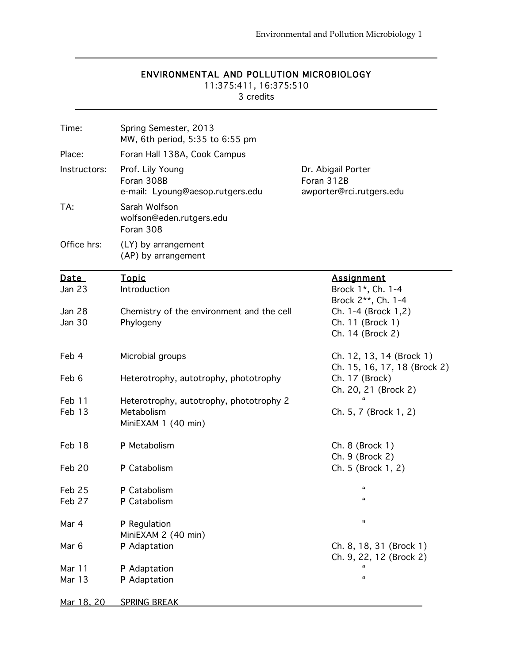#### ENVIRONMENTAL AND POLLUTION MICROBIOLOGY

 $\overline{a}$ 

11:375:411, 16:375:510

3 credits

| Time:         | Spring Semester, 2013<br>MW, 6th period, 5:35 to 6:55 pm           |                                                              |
|---------------|--------------------------------------------------------------------|--------------------------------------------------------------|
| Place:        | Foran Hall 138A, Cook Campus                                       |                                                              |
| Instructors:  | Prof. Lily Young<br>Foran 308B<br>e-mail: Lyoung@aesop.rutgers.edu | Dr. Abigail Porter<br>Foran 312B<br>awporter@rci.rutgers.edu |
| TA:           | Sarah Wolfson<br>wolfson@eden.rutgers.edu<br>Foran 308             |                                                              |
| Office hrs:   | (LY) by arrangement<br>(AP) by arrangement                         |                                                              |
| Date          | <b>Topic</b>                                                       | <b>Assignment</b>                                            |
| Jan 23        | Introduction                                                       | Brock 1*, Ch. 1-4<br>Brock 2**, Ch. 1-4                      |
| <b>Jan 28</b> | Chemistry of the environment and the cell                          | Ch. 1-4 (Brock 1,2)                                          |
| <b>Jan 30</b> | Phylogeny                                                          | Ch. 11 (Brock 1)                                             |
|               |                                                                    | Ch. 14 (Brock 2)                                             |
| Feb 4         | Microbial groups                                                   | Ch. 12, 13, 14 (Brock 1)<br>Ch. 15, 16, 17, 18 (Brock 2)     |
| Feb 6         | Heterotrophy, autotrophy, phototrophy                              | Ch. 17 (Brock)<br>Ch. 20, 21 (Brock 2)                       |
| Feb 11        | Heterotrophy, autotrophy, phototrophy 2                            |                                                              |
| Feb 13        | Metabolism                                                         | Ch. 5, 7 (Brock 1, 2)                                        |
|               | MiniEXAM 1 (40 min)                                                |                                                              |
| Feb 18        | P Metabolism                                                       | Ch. 8 (Brock 1)                                              |
| Feb 20        | P Catabolism                                                       | Ch. 9 (Brock 2)<br>Ch. 5 (Brock 1, 2)                        |
|               |                                                                    |                                                              |
| Feb 25        | <b>P</b> Catabolism                                                | "                                                            |
| Feb 27        | P Catabolism                                                       | "                                                            |
| Mar 4         | P Regulation                                                       | $\mathbf{H}$                                                 |
|               | MiniEXAM 2 (40 min)                                                |                                                              |
| Mar 6         | P Adaptation                                                       | Ch. 8, 18, 31 (Brock 1)                                      |
|               |                                                                    | Ch. 9, 22, 12 (Brock 2)<br>"                                 |
| Mar 11        | P Adaptation                                                       | $\pmb{\epsilon}$                                             |
| Mar 13        | P Adaptation                                                       |                                                              |
| Mar 18, 20    | <b>SPRING BREAK</b>                                                |                                                              |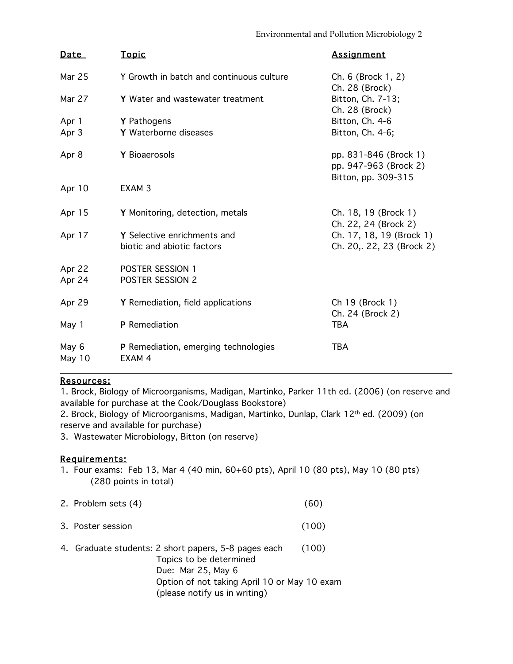| <u>Date</u>     | <u>Topic</u>                                              | <b>Assignment</b>                                                     |
|-----------------|-----------------------------------------------------------|-----------------------------------------------------------------------|
| Mar 25          | Y Growth in batch and continuous culture                  | Ch. 6 (Brock 1, 2)<br>Ch. 28 (Brock)                                  |
| Mar 27          | Y Water and wastewater treatment                          | Bitton, Ch. 7-13;<br>Ch. 28 (Brock)                                   |
| Apr 1           | Y Pathogens                                               | Bitton, Ch. 4-6                                                       |
| Apr 3           | Y Waterborne diseases                                     | Bitton, Ch. 4-6;                                                      |
| Apr 8           | Y Bioaerosols                                             | pp. 831-846 (Brock 1)<br>pp. 947-963 (Brock 2)<br>Bitton, pp. 309-315 |
| Apr 10          | EXAM <sub>3</sub>                                         |                                                                       |
| Apr 15          | Y Monitoring, detection, metals                           | Ch. 18, 19 (Brock 1)<br>Ch. 22, 24 (Brock 2)                          |
| Apr 17          | Y Selective enrichments and<br>biotic and abiotic factors | Ch. 17, 18, 19 (Brock 1)<br>Ch. 20, 22, 23 (Brock 2)                  |
| Apr 22          | POSTER SESSION 1                                          |                                                                       |
| Apr 24          | POSTER SESSION 2                                          |                                                                       |
| Apr 29          | Y Remediation, field applications                         | Ch 19 (Brock 1)<br>Ch. 24 (Brock 2)                                   |
| May 1           | P Remediation                                             | <b>TBA</b>                                                            |
| May 6<br>May 10 | <b>P</b> Remediation, emerging technologies<br>EXAM 4     | <b>TBA</b>                                                            |

### Resources:

1. Brock, Biology of Microorganisms, Madigan, Martinko, Parker 11th ed. (2006) (on reserve and available for purchase at the Cook/Douglass Bookstore)

2. Brock, Biology of Microorganisms, Madigan, Martinko, Dunlap, Clark 12th ed. (2009) (on reserve and available for purchase)

3. Wastewater Microbiology, Bitton (on reserve)

### Requirements:

- 1. Four exams: Feb 13, Mar 4 (40 min, 60+60 pts), April 10 (80 pts), May 10 (80 pts) (280 points in total)
- 2. Problem sets (4) (60)
- 3. Poster session (100)
- 4. Graduate students: 2 short papers, 5-8 pages each (100) Topics to be determined Due: Mar 25, May 6 Option of not taking April 10 or May 10 exam (please notify us in writing)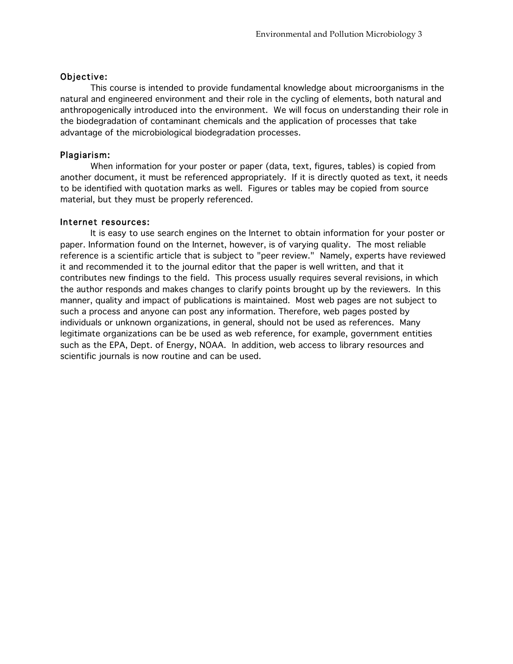#### Objective:

 This course is intended to provide fundamental knowledge about microorganisms in the natural and engineered environment and their role in the cycling of elements, both natural and anthropogenically introduced into the environment. We will focus on understanding their role in the biodegradation of contaminant chemicals and the application of processes that take advantage of the microbiological biodegradation processes.

#### Plagiarism:

When information for your poster or paper (data, text, figures, tables) is copied from another document, it must be referenced appropriately. If it is directly quoted as text, it needs to be identified with quotation marks as well. Figures or tables may be copied from source material, but they must be properly referenced.

#### Internet resources:

It is easy to use search engines on the Internet to obtain information for your poster or paper. Information found on the Internet, however, is of varying quality. The most reliable reference is a scientific article that is subject to "peer review." Namely, experts have reviewed it and recommended it to the journal editor that the paper is well written, and that it contributes new findings to the field. This process usually requires several revisions, in which the author responds and makes changes to clarify points brought up by the reviewers. In this manner, quality and impact of publications is maintained. Most web pages are not subject to such a process and anyone can post any information. Therefore, web pages posted by individuals or unknown organizations, in general, should not be used as references. Many legitimate organizations can be be used as web reference, for example, government entities such as the EPA, Dept. of Energy, NOAA. In addition, web access to library resources and scientific journals is now routine and can be used.